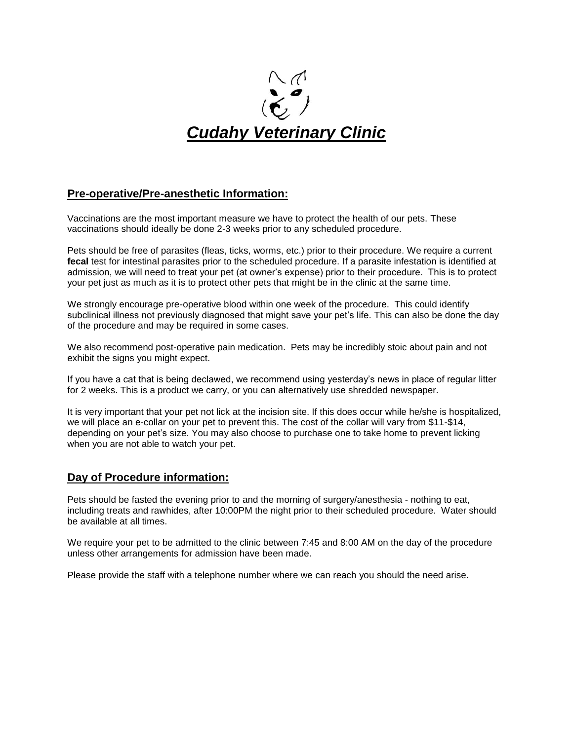

## **Pre-operative/Pre-anesthetic Information:**

Vaccinations are the most important measure we have to protect the health of our pets. These vaccinations should ideally be done 2-3 weeks prior to any scheduled procedure.

Pets should be free of parasites (fleas, ticks, worms, etc.) prior to their procedure. We require a current **fecal** test for intestinal parasites prior to the scheduled procedure. If a parasite infestation is identified at admission, we will need to treat your pet (at owner's expense) prior to their procedure. This is to protect your pet just as much as it is to protect other pets that might be in the clinic at the same time.

We strongly encourage pre-operative blood within one week of the procedure. This could identify subclinical illness not previously diagnosed that might save your pet's life. This can also be done the day of the procedure and may be required in some cases.

We also recommend post-operative pain medication. Pets may be incredibly stoic about pain and not exhibit the signs you might expect.

If you have a cat that is being declawed, we recommend using yesterday's news in place of regular litter for 2 weeks. This is a product we carry, or you can alternatively use shredded newspaper.

It is very important that your pet not lick at the incision site. If this does occur while he/she is hospitalized, we will place an e-collar on your pet to prevent this. The cost of the collar will vary from \$11-\$14, depending on your pet's size. You may also choose to purchase one to take home to prevent licking when you are not able to watch your pet.

## **Day of Procedure information:**

Pets should be fasted the evening prior to and the morning of surgery/anesthesia - nothing to eat, including treats and rawhides, after 10:00PM the night prior to their scheduled procedure. Water should be available at all times.

We require your pet to be admitted to the clinic between 7:45 and 8:00 AM on the day of the procedure unless other arrangements for admission have been made.

Please provide the staff with a telephone number where we can reach you should the need arise.